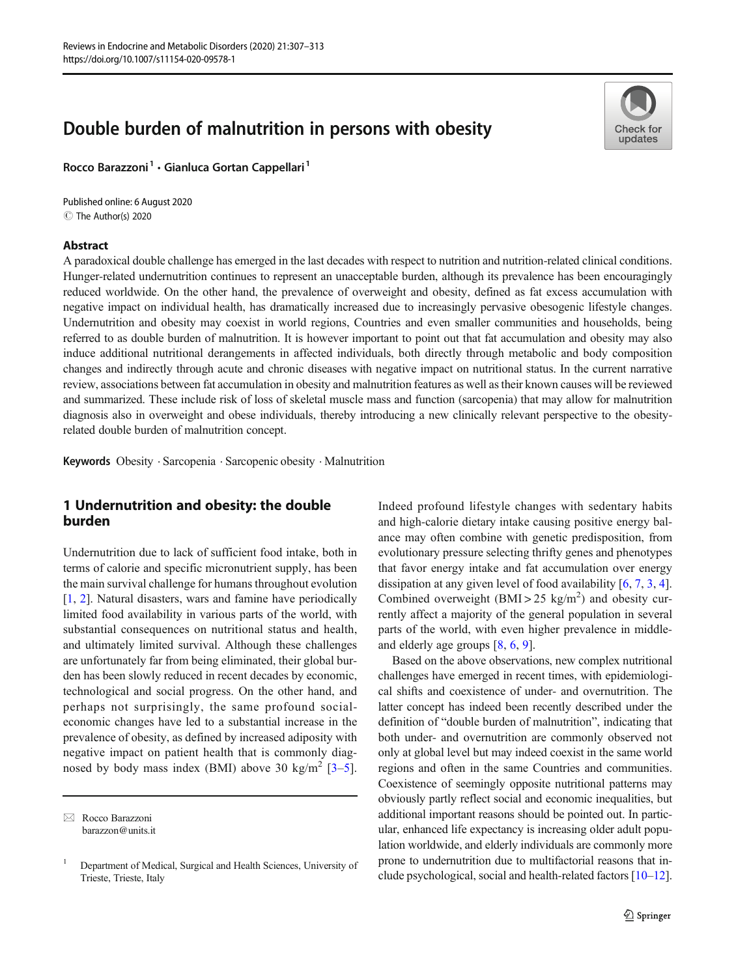# Double burden of malnutrition in persons with obesity

Rocco Barazzoni<sup>1</sup> · Gianluca Gortan Cappellari<sup>1</sup>

C The Author(s) 2020 Published online: 6 August 2020

#### Abstract



A paradoxical double challenge has emerged in the last decades with respect to nutrition and nutrition-related clinical conditions. Hunger-related undernutrition continues to represent an unacceptable burden, although its prevalence has been encouragingly reduced worldwide. On the other hand, the prevalence of overweight and obesity, defined as fat excess accumulation with negative impact on individual health, has dramatically increased due to increasingly pervasive obesogenic lifestyle changes. Undernutrition and obesity may coexist in world regions, Countries and even smaller communities and households, being referred to as double burden of malnutrition. It is however important to point out that fat accumulation and obesity may also induce additional nutritional derangements in affected individuals, both directly through metabolic and body composition changes and indirectly through acute and chronic diseases with negative impact on nutritional status. In the current narrative review, associations between fat accumulation in obesity and malnutrition features as well as their known causes will be reviewed and summarized. These include risk of loss of skeletal muscle mass and function (sarcopenia) that may allow for malnutrition diagnosis also in overweight and obese individuals, thereby introducing a new clinically relevant perspective to the obesityrelated double burden of malnutrition concept.

Keywords Obesity . Sarcopenia . Sarcopenic obesity . Malnutrition

## 1 Undernutrition and obesity: the double burden

Undernutrition due to lack of sufficient food intake, both in terms of calorie and specific micronutrient supply, has been the main survival challenge for humans throughout evolution [\[1](#page-3-0), [2\]](#page-3-0). Natural disasters, wars and famine have periodically limited food availability in various parts of the world, with substantial consequences on nutritional status and health, and ultimately limited survival. Although these challenges are unfortunately far from being eliminated, their global burden has been slowly reduced in recent decades by economic, technological and social progress. On the other hand, and perhaps not surprisingly, the same profound socialeconomic changes have led to a substantial increase in the prevalence of obesity, as defined by increased adiposity with negative impact on patient health that is commonly diag-nosed by body mass index (BMI) above 30 kg/m<sup>2</sup> [\[3](#page-3-0)–[5](#page-3-0)].

Indeed profound lifestyle changes with sedentary habits and high-calorie dietary intake causing positive energy balance may often combine with genetic predisposition, from evolutionary pressure selecting thrifty genes and phenotypes that favor energy intake and fat accumulation over energy dissipation at any given level of food availability [\[6](#page-3-0), [7,](#page-4-0) [3,](#page-3-0) [4\]](#page-3-0). Combined overweight  $(BMI > 25 \text{ kg/m}^2)$  and obesity currently affect a majority of the general population in several parts of the world, with even higher prevalence in middleand elderly age groups [[8,](#page-4-0) [6,](#page-3-0) [9\]](#page-4-0).

Based on the above observations, new complex nutritional challenges have emerged in recent times, with epidemiological shifts and coexistence of under- and overnutrition. The latter concept has indeed been recently described under the definition of "double burden of malnutrition", indicating that both under- and overnutrition are commonly observed not only at global level but may indeed coexist in the same world regions and often in the same Countries and communities. Coexistence of seemingly opposite nutritional patterns may obviously partly reflect social and economic inequalities, but additional important reasons should be pointed out. In particular, enhanced life expectancy is increasing older adult population worldwide, and elderly individuals are commonly more prone to undernutrition due to multifactorial reasons that include psychological, social and health-related factors [\[10](#page-4-0)–[12\]](#page-4-0).

 $\boxtimes$  Rocco Barazzoni [barazzon@units.it](mailto:barazzon@units.it)

<sup>1</sup> Department of Medical, Surgical and Health Sciences, University of Trieste, Trieste, Italy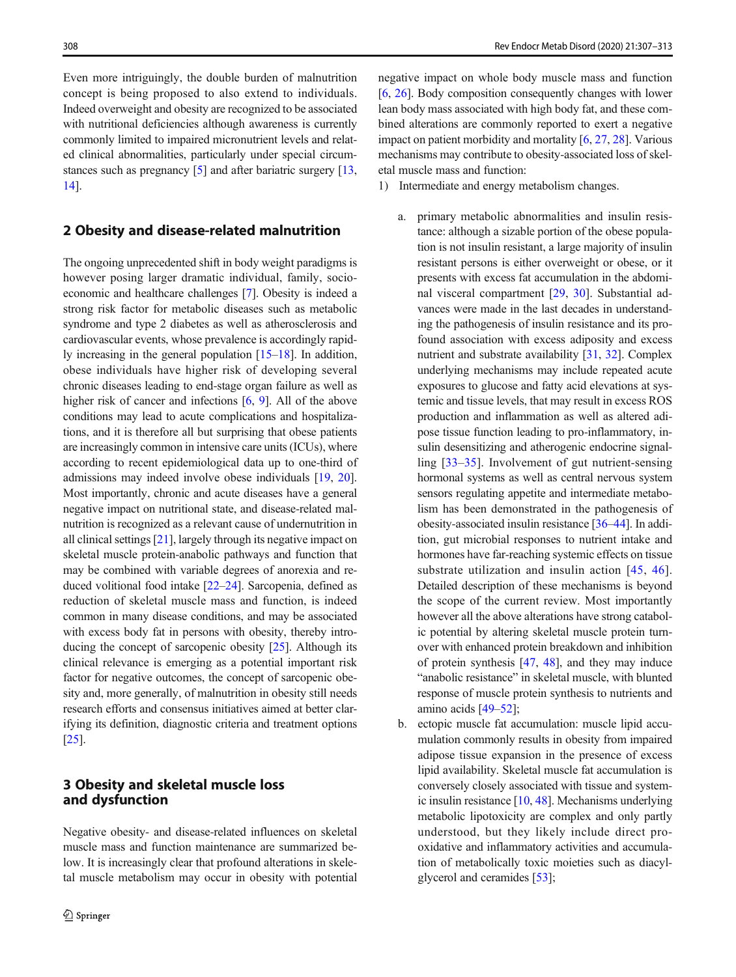Even more intriguingly, the double burden of malnutrition concept is being proposed to also extend to individuals. Indeed overweight and obesity are recognized to be associated with nutritional deficiencies although awareness is currently commonly limited to impaired micronutrient levels and related clinical abnormalities, particularly under special circum-stances such as pregnancy [\[5](#page-3-0)] and after bariatric surgery [[13,](#page-4-0) [14\]](#page-4-0).

### 2 Obesity and disease-related malnutrition

The ongoing unprecedented shift in body weight paradigms is however posing larger dramatic individual, family, socioeconomic and healthcare challenges [\[7\]](#page-4-0). Obesity is indeed a strong risk factor for metabolic diseases such as metabolic syndrome and type 2 diabetes as well as atherosclerosis and cardiovascular events, whose prevalence is accordingly rapidly increasing in the general population  $[15–18]$  $[15–18]$  $[15–18]$ . In addition, obese individuals have higher risk of developing several chronic diseases leading to end-stage organ failure as well as higher risk of cancer and infections [[6,](#page-3-0) [9](#page-4-0)]. All of the above conditions may lead to acute complications and hospitalizations, and it is therefore all but surprising that obese patients are increasingly common in intensive care units (ICUs), where according to recent epidemiological data up to one-third of admissions may indeed involve obese individuals [[19](#page-4-0), [20](#page-4-0)]. Most importantly, chronic and acute diseases have a general negative impact on nutritional state, and disease-related malnutrition is recognized as a relevant cause of undernutrition in all clinical settings [\[21\]](#page-4-0), largely through its negative impact on skeletal muscle protein-anabolic pathways and function that may be combined with variable degrees of anorexia and reduced volitional food intake [[22](#page-4-0)–[24](#page-4-0)]. Sarcopenia, defined as reduction of skeletal muscle mass and function, is indeed common in many disease conditions, and may be associated with excess body fat in persons with obesity, thereby introducing the concept of sarcopenic obesity [\[25\]](#page-4-0). Although its clinical relevance is emerging as a potential important risk factor for negative outcomes, the concept of sarcopenic obesity and, more generally, of malnutrition in obesity still needs research efforts and consensus initiatives aimed at better clarifying its definition, diagnostic criteria and treatment options [\[25\]](#page-4-0).

## 3 Obesity and skeletal muscle loss and dysfunction

Negative obesity- and disease-related influences on skeletal muscle mass and function maintenance are summarized below. It is increasingly clear that profound alterations in skeletal muscle metabolism may occur in obesity with potential negative impact on whole body muscle mass and function [\[6](#page-3-0), [26](#page-4-0)]. Body composition consequently changes with lower lean body mass associated with high body fat, and these combined alterations are commonly reported to exert a negative impact on patient morbidity and mortality [\[6](#page-3-0), [27](#page-4-0), [28\]](#page-4-0). Various mechanisms may contribute to obesity-associated loss of skeletal muscle mass and function:

1) Intermediate and energy metabolism changes.

- a. primary metabolic abnormalities and insulin resistance: although a sizable portion of the obese population is not insulin resistant, a large majority of insulin resistant persons is either overweight or obese, or it presents with excess fat accumulation in the abdominal visceral compartment [[29,](#page-4-0) [30](#page-4-0)]. Substantial advances were made in the last decades in understanding the pathogenesis of insulin resistance and its profound association with excess adiposity and excess nutrient and substrate availability [[31](#page-4-0), [32\]](#page-4-0). Complex underlying mechanisms may include repeated acute exposures to glucose and fatty acid elevations at systemic and tissue levels, that may result in excess ROS production and inflammation as well as altered adipose tissue function leading to pro-inflammatory, insulin desensitizing and atherogenic endocrine signalling [[33](#page-4-0)–[35](#page-4-0)]. Involvement of gut nutrient-sensing hormonal systems as well as central nervous system sensors regulating appetite and intermediate metabolism has been demonstrated in the pathogenesis of obesity-associated insulin resistance [\[36](#page-4-0)–[44](#page-5-0)]. In addition, gut microbial responses to nutrient intake and hormones have far-reaching systemic effects on tissue substrate utilization and insulin action [[45](#page-5-0), [46](#page-5-0)]. Detailed description of these mechanisms is beyond the scope of the current review. Most importantly however all the above alterations have strong catabolic potential by altering skeletal muscle protein turnover with enhanced protein breakdown and inhibition of protein synthesis [[47,](#page-5-0) [48\]](#page-5-0), and they may induce "anabolic resistance" in skeletal muscle, with blunted response of muscle protein synthesis to nutrients and amino acids [\[49](#page-5-0)–[52\]](#page-5-0);
- b. ectopic muscle fat accumulation: muscle lipid accumulation commonly results in obesity from impaired adipose tissue expansion in the presence of excess lipid availability. Skeletal muscle fat accumulation is conversely closely associated with tissue and systemic insulin resistance [\[10,](#page-4-0) [48](#page-5-0)]. Mechanisms underlying metabolic lipotoxicity are complex and only partly understood, but they likely include direct prooxidative and inflammatory activities and accumulation of metabolically toxic moieties such as diacylglycerol and ceramides [\[53\]](#page-5-0);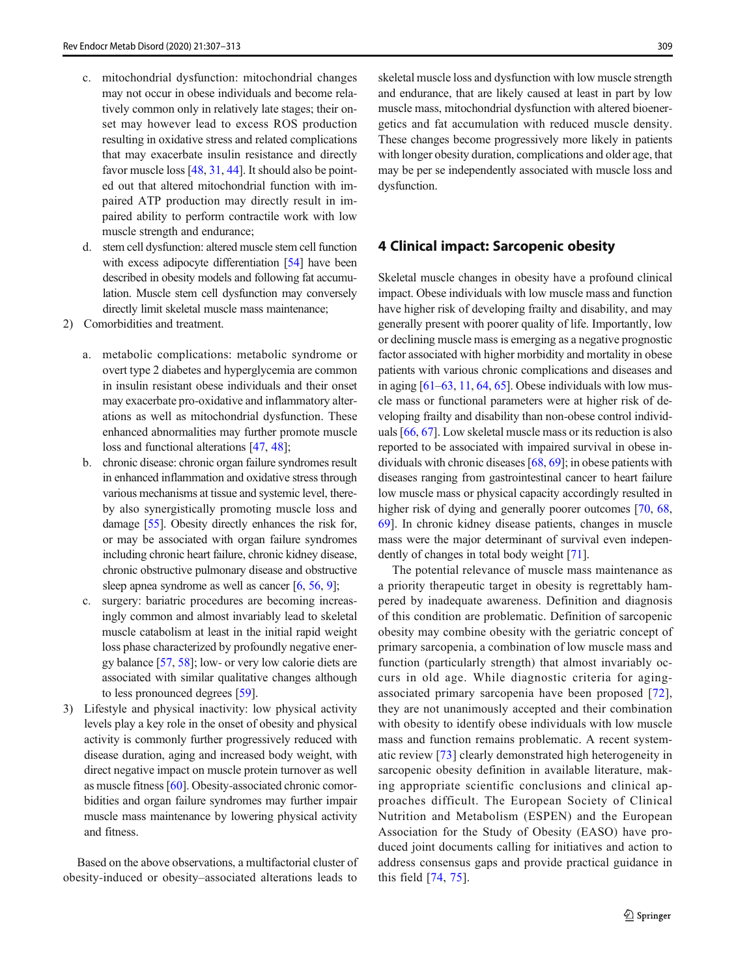- c. mitochondrial dysfunction: mitochondrial changes may not occur in obese individuals and become relatively common only in relatively late stages; their onset may however lead to excess ROS production resulting in oxidative stress and related complications that may exacerbate insulin resistance and directly favor muscle loss [\[48,](#page-5-0) [31](#page-4-0), [44](#page-5-0)]. It should also be pointed out that altered mitochondrial function with impaired ATP production may directly result in impaired ability to perform contractile work with low muscle strength and endurance;
- d. stem cell dysfunction: altered muscle stem cell function with excess adipocyte differentiation [[54](#page-5-0)] have been described in obesity models and following fat accumulation. Muscle stem cell dysfunction may conversely directly limit skeletal muscle mass maintenance;
- 2) Comorbidities and treatment.
	- a. metabolic complications: metabolic syndrome or overt type 2 diabetes and hyperglycemia are common in insulin resistant obese individuals and their onset may exacerbate pro-oxidative and inflammatory alterations as well as mitochondrial dysfunction. These enhanced abnormalities may further promote muscle loss and functional alterations [[47,](#page-5-0) [48](#page-5-0)];
	- b. chronic disease: chronic organ failure syndromes result in enhanced inflammation and oxidative stress through various mechanisms at tissue and systemic level, thereby also synergistically promoting muscle loss and damage [[55](#page-5-0)]. Obesity directly enhances the risk for, or may be associated with organ failure syndromes including chronic heart failure, chronic kidney disease, chronic obstructive pulmonary disease and obstructive sleep apnea syndrome as well as cancer [\[6,](#page-3-0) [56](#page-5-0), [9](#page-4-0)];
	- c. surgery: bariatric procedures are becoming increasingly common and almost invariably lead to skeletal muscle catabolism at least in the initial rapid weight loss phase characterized by profoundly negative energy balance [[57](#page-5-0), [58\]](#page-5-0); low- or very low calorie diets are associated with similar qualitative changes although to less pronounced degrees [[59](#page-5-0)].
- 3) Lifestyle and physical inactivity: low physical activity levels play a key role in the onset of obesity and physical activity is commonly further progressively reduced with disease duration, aging and increased body weight, with direct negative impact on muscle protein turnover as well as muscle fitness [[60\]](#page-5-0). Obesity-associated chronic comorbidities and organ failure syndromes may further impair muscle mass maintenance by lowering physical activity and fitness.

Based on the above observations, a multifactorial cluster of obesity-induced or obesity–associated alterations leads to

skeletal muscle loss and dysfunction with low muscle strength and endurance, that are likely caused at least in part by low muscle mass, mitochondrial dysfunction with altered bioenergetics and fat accumulation with reduced muscle density. These changes become progressively more likely in patients with longer obesity duration, complications and older age, that may be per se independently associated with muscle loss and dysfunction.

#### 4 Clinical impact: Sarcopenic obesity

Skeletal muscle changes in obesity have a profound clinical impact. Obese individuals with low muscle mass and function have higher risk of developing frailty and disability, and may generally present with poorer quality of life. Importantly, low or declining muscle mass is emerging as a negative prognostic factor associated with higher morbidity and mortality in obese patients with various chronic complications and diseases and in aging  $[61–63, 11, 64, 65]$  $[61–63, 11, 64, 65]$  $[61–63, 11, 64, 65]$  $[61–63, 11, 64, 65]$  $[61–63, 11, 64, 65]$  $[61–63, 11, 64, 65]$  $[61–63, 11, 64, 65]$  $[61–63, 11, 64, 65]$  $[61–63, 11, 64, 65]$  $[61–63, 11, 64, 65]$ . Obese individuals with low muscle mass or functional parameters were at higher risk of developing frailty and disability than non-obese control individuals [[66,](#page-5-0) [67\]](#page-5-0). Low skeletal muscle mass or its reduction is also reported to be associated with impaired survival in obese individuals with chronic diseases [\[68,](#page-5-0) [69\]](#page-5-0); in obese patients with diseases ranging from gastrointestinal cancer to heart failure low muscle mass or physical capacity accordingly resulted in higher risk of dying and generally poorer outcomes [[70](#page-5-0), [68,](#page-5-0) [69](#page-5-0)]. In chronic kidney disease patients, changes in muscle mass were the major determinant of survival even independently of changes in total body weight [[71\]](#page-5-0).

The potential relevance of muscle mass maintenance as a priority therapeutic target in obesity is regrettably hampered by inadequate awareness. Definition and diagnosis of this condition are problematic. Definition of sarcopenic obesity may combine obesity with the geriatric concept of primary sarcopenia, a combination of low muscle mass and function (particularly strength) that almost invariably occurs in old age. While diagnostic criteria for agingassociated primary sarcopenia have been proposed [[72](#page-5-0)], they are not unanimously accepted and their combination with obesity to identify obese individuals with low muscle mass and function remains problematic. A recent systematic review [\[73](#page-5-0)] clearly demonstrated high heterogeneity in sarcopenic obesity definition in available literature, making appropriate scientific conclusions and clinical approaches difficult. The European Society of Clinical Nutrition and Metabolism (ESPEN) and the European Association for the Study of Obesity (EASO) have produced joint documents calling for initiatives and action to address consensus gaps and provide practical guidance in this field [[74,](#page-6-0) [75\]](#page-6-0).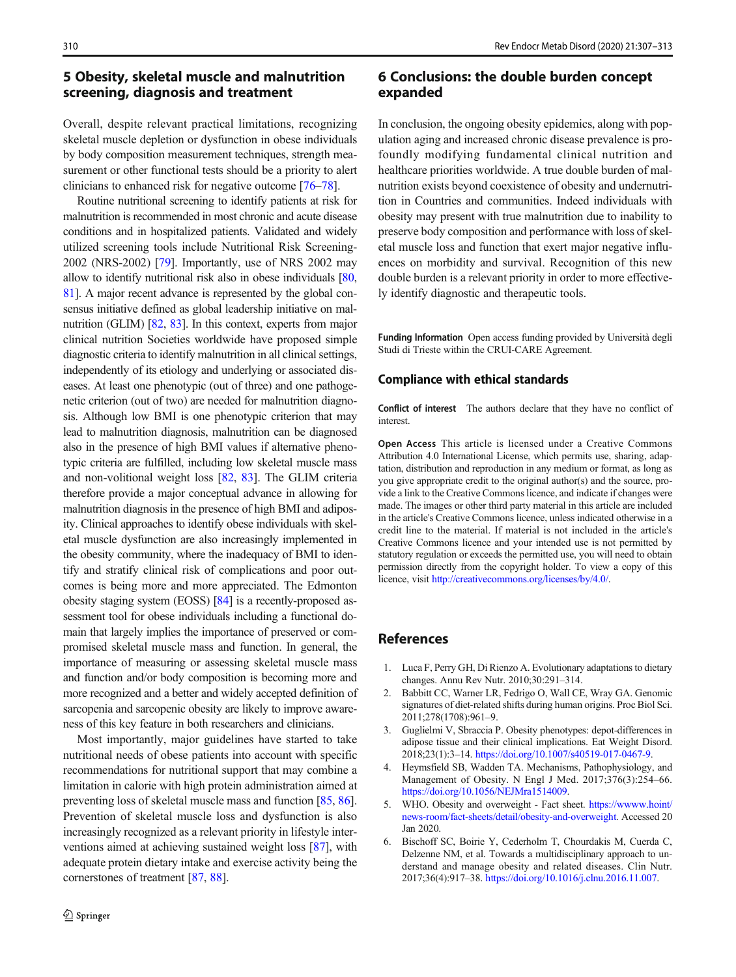## <span id="page-3-0"></span>5 Obesity, skeletal muscle and malnutrition screening, diagnosis and treatment

Overall, despite relevant practical limitations, recognizing skeletal muscle depletion or dysfunction in obese individuals by body composition measurement techniques, strength measurement or other functional tests should be a priority to alert clinicians to enhanced risk for negative outcome [\[76](#page-6-0)–[78\]](#page-6-0).

Routine nutritional screening to identify patients at risk for malnutrition is recommended in most chronic and acute disease conditions and in hospitalized patients. Validated and widely utilized screening tools include Nutritional Risk Screening-2002 (NRS-2002) [\[79](#page-6-0)]. Importantly, use of NRS 2002 may allow to identify nutritional risk also in obese individuals [\[80,](#page-6-0) [81\]](#page-6-0). A major recent advance is represented by the global consensus initiative defined as global leadership initiative on malnutrition (GLIM) [[82](#page-6-0), [83](#page-6-0)]. In this context, experts from major clinical nutrition Societies worldwide have proposed simple diagnostic criteria to identify malnutrition in all clinical settings, independently of its etiology and underlying or associated diseases. At least one phenotypic (out of three) and one pathogenetic criterion (out of two) are needed for malnutrition diagnosis. Although low BMI is one phenotypic criterion that may lead to malnutrition diagnosis, malnutrition can be diagnosed also in the presence of high BMI values if alternative phenotypic criteria are fulfilled, including low skeletal muscle mass and non-volitional weight loss [\[82](#page-6-0), [83](#page-6-0)]. The GLIM criteria therefore provide a major conceptual advance in allowing for malnutrition diagnosis in the presence of high BMI and adiposity. Clinical approaches to identify obese individuals with skeletal muscle dysfunction are also increasingly implemented in the obesity community, where the inadequacy of BMI to identify and stratify clinical risk of complications and poor outcomes is being more and more appreciated. The Edmonton obesity staging system (EOSS) [[84](#page-6-0)] is a recently-proposed assessment tool for obese individuals including a functional domain that largely implies the importance of preserved or compromised skeletal muscle mass and function. In general, the importance of measuring or assessing skeletal muscle mass and function and/or body composition is becoming more and more recognized and a better and widely accepted definition of sarcopenia and sarcopenic obesity are likely to improve awareness of this key feature in both researchers and clinicians.

Most importantly, major guidelines have started to take nutritional needs of obese patients into account with specific recommendations for nutritional support that may combine a limitation in calorie with high protein administration aimed at preventing loss of skeletal muscle mass and function [\[85](#page-6-0), [86\]](#page-6-0). Prevention of skeletal muscle loss and dysfunction is also increasingly recognized as a relevant priority in lifestyle interventions aimed at achieving sustained weight loss [[87](#page-6-0)], with adequate protein dietary intake and exercise activity being the cornerstones of treatment [\[87,](#page-6-0) [88\]](#page-6-0).

## 6 Conclusions: the double burden concept expanded

In conclusion, the ongoing obesity epidemics, along with population aging and increased chronic disease prevalence is profoundly modifying fundamental clinical nutrition and healthcare priorities worldwide. A true double burden of malnutrition exists beyond coexistence of obesity and undernutrition in Countries and communities. Indeed individuals with obesity may present with true malnutrition due to inability to preserve body composition and performance with loss of skeletal muscle loss and function that exert major negative influences on morbidity and survival. Recognition of this new double burden is a relevant priority in order to more effectively identify diagnostic and therapeutic tools.

Funding lnformation Open access funding provided by Università degli Studi di Trieste within the CRUI-CARE Agreement.

#### Compliance with ethical standards

Conflict of interest The authors declare that they have no conflict of interest.

Open Access This article is licensed under a Creative Commons Attribution 4.0 International License, which permits use, sharing, adaptation, distribution and reproduction in any medium or format, as long as you give appropriate credit to the original author(s) and the source, provide a link to the Creative Commons licence, and indicate if changes were made. The images or other third party material in this article are included in the article's Creative Commons licence, unless indicated otherwise in a credit line to the material. If material is not included in the article's Creative Commons licence and your intended use is not permitted by statutory regulation or exceeds the permitted use, you will need to obtain permission directly from the copyright holder. To view a copy of this licence, visit [http://creativecommons.org/licenses/by/4.0/](https://doi.org/).

## References

- 1. Luca F, Perry GH, Di Rienzo A. Evolutionary adaptations to dietary changes. Annu Rev Nutr. 2010;30:291–314.
- 2. Babbitt CC, Warner LR, Fedrigo O, Wall CE, Wray GA. Genomic signatures of diet-related shifts during human origins. Proc Biol Sci. 2011;278(1708):961–9.
- 3. Guglielmi V, Sbraccia P. Obesity phenotypes: depot-differences in adipose tissue and their clinical implications. Eat Weight Disord. 2018;23(1):3–14. [https://doi.org/10.1007/s40519-017-0467-9.](https://doi.org/10.1007/s40519-017-0467-9)
- 4. Heymsfield SB, Wadden TA. Mechanisms, Pathophysiology, and Management of Obesity. N Engl J Med. 2017;376(3):254–66. <https://doi.org/10.1056/NEJMra1514009>.
- 5. WHO. Obesity and overweight Fact sheet. [https://wwww.hoint/](https://wwww.hoint/news-oom/fact-heets/detail/obesityndverweight) [news-room/fact-sheets/detail/obesity-and-overweight.](https://wwww.hoint/news-oom/fact-heets/detail/obesityndverweight) Accessed 20 Jan 2020.
- 6. Bischoff SC, Boirie Y, Cederholm T, Chourdakis M, Cuerda C, Delzenne NM, et al. Towards a multidisciplinary approach to understand and manage obesity and related diseases. Clin Nutr. 2017;36(4):917–38. [https://doi.org/10.1016/j.clnu.2016.11.007.](https://doi.org/10.1016/j.clnu.2016.11.007)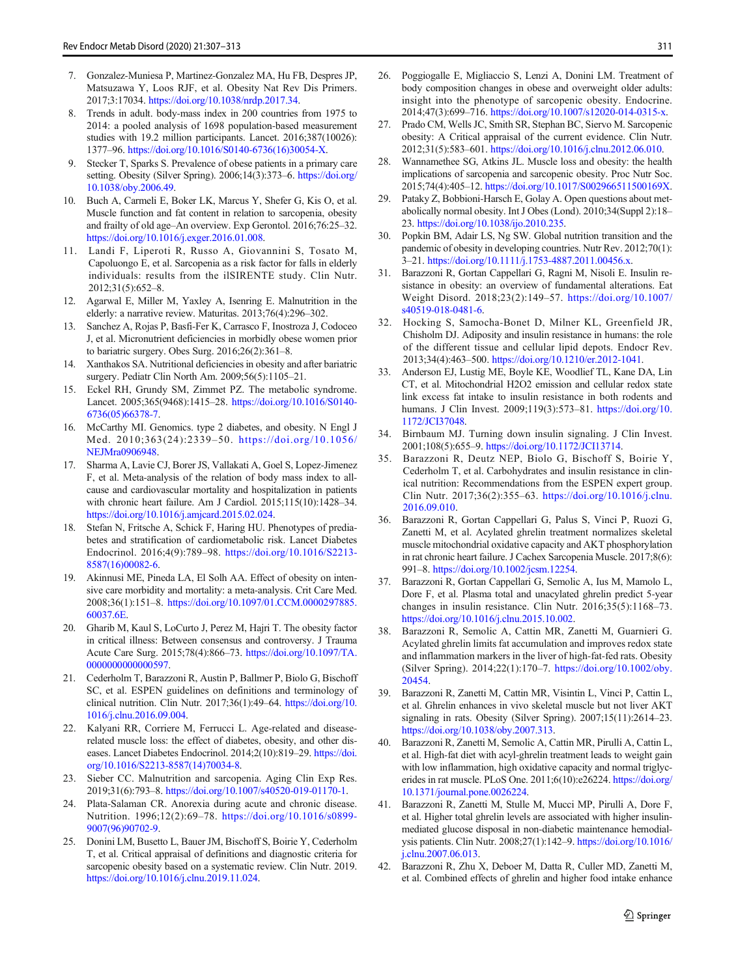- <span id="page-4-0"></span>7. Gonzalez-Muniesa P, Martinez-Gonzalez MA, Hu FB, Despres JP, Matsuzawa Y, Loos RJF, et al. Obesity Nat Rev Dis Primers. 2017;3:17034. <https://doi.org/10.1038/nrdp.2017.34>.
- Trends in adult. body-mass index in 200 countries from 1975 to 2014: a pooled analysis of 1698 population-based measurement studies with 19.2 million participants. Lancet. 2016;387(10026): 1377–96. [https://doi.org/10.1016/S0140-6736\(16\)30054-X.](https://doi.org/10.1016/S0140-6736(16)30054-X)
- 9. Stecker T, Sparks S. Prevalence of obese patients in a primary care setting. Obesity (Silver Spring). 2006;14(3):373–6. [https://doi.org/](https://doi.org/10.1038/oby.2006.49) [10.1038/oby.2006.49](https://doi.org/10.1038/oby.2006.49).
- 10. Buch A, Carmeli E, Boker LK, Marcus Y, Shefer G, Kis O, et al. Muscle function and fat content in relation to sarcopenia, obesity and frailty of old age–An overview. Exp Gerontol. 2016;76:25–32. [https://doi.org/10.1016/j.exger.2016.01.008.](https://doi.org/10.1016/j.exger.2016.01.008)
- 11. Landi F, Liperoti R, Russo A, Giovannini S, Tosato M, Capoluongo E, et al. Sarcopenia as a risk factor for falls in elderly individuals: results from the ilSIRENTE study. Clin Nutr. 2012;31(5):652–8.
- 12. Agarwal E, Miller M, Yaxley A, Isenring E. Malnutrition in the elderly: a narrative review. Maturitas. 2013;76(4):296–302.
- 13. Sanchez A, Rojas P, Basfi-Fer K, Carrasco F, Inostroza J, Codoceo J, et al. Micronutrient deficiencies in morbidly obese women prior to bariatric surgery. Obes Surg. 2016;26(2):361–8.
- 14. Xanthakos SA. Nutritional deficiencies in obesity and after bariatric surgery. Pediatr Clin North Am. 2009;56(5):1105–21.
- 15. Eckel RH, Grundy SM, Zimmet PZ. The metabolic syndrome. Lancet. 2005;365(9468):1415–28. https://doi.org/10.1016/S0140- 6736(05)66378-7.
- 16. McCarthy MI. Genomics. type 2 diabetes, and obesity. N Engl J Med. 2010;363(24):2339–50. [https://doi.org/10.1056/](https://doi.org/10.1056/NEJMra0906948) [NEJMra0906948.](https://doi.org/10.1056/NEJMra0906948)
- 17. Sharma A, Lavie CJ, Borer JS, Vallakati A, Goel S, Lopez-Jimenez F, et al. Meta-analysis of the relation of body mass index to allcause and cardiovascular mortality and hospitalization in patients with chronic heart failure. Am J Cardiol. 2015;115(10):1428–34. [https://doi.org/10.1016/j.amjcard.2015.02.024.](https://doi.org/10.1016/j.amjcard.2015.02.024)
- 18. Stefan N, Fritsche A, Schick F, Haring HU. Phenotypes of prediabetes and stratification of cardiometabolic risk. Lancet Diabetes Endocrinol. 2016;4(9):789–98. [https://doi.org/10.1016/S2213-](https://doi.org/10.1016/S2213-8587(16)00082-6) [8587\(16\)00082-6.](https://doi.org/10.1016/S2213-8587(16)00082-6)
- 19. Akinnusi ME, Pineda LA, El Solh AA. Effect of obesity on intensive care morbidity and mortality: a meta-analysis. Crit Care Med. 2008;36(1):151–8. [https://doi.org/10.1097/01.CCM.0000297885.](https://doi.org/10.1097/01.CCM.0000297885.60037.6E) [60037.6E.](https://doi.org/10.1097/01.CCM.0000297885.60037.6E)
- 20. Gharib M, Kaul S, LoCurto J, Perez M, Hajri T. The obesity factor in critical illness: Between consensus and controversy. J Trauma Acute Care Surg. 2015;78(4):866–73. [https://doi.org/10.1097/TA.](https://doi.org/10.1097/TA.0000000000000597) [0000000000000597](https://doi.org/10.1097/TA.0000000000000597).
- 21. Cederholm T, Barazzoni R, Austin P, Ballmer P, Biolo G, Bischoff SC, et al. ESPEN guidelines on definitions and terminology of clinical nutrition. Clin Nutr. 2017;36(1):49–64. [https://doi.org/10.](https://doi.org/10.1016/j.clnu.2016.09.004) [1016/j.clnu.2016.09.004](https://doi.org/10.1016/j.clnu.2016.09.004).
- 22. Kalyani RR, Corriere M, Ferrucci L. Age-related and diseaserelated muscle loss: the effect of diabetes, obesity, and other diseases. Lancet Diabetes Endocrinol. 2014;2(10):819–29. [https://doi.](https://doi.org/10.1016/S2213-8587(14)70034-8) [org/10.1016/S2213-8587\(14\)70034-8.](https://doi.org/10.1016/S2213-8587(14)70034-8)
- Sieber CC. Malnutrition and sarcopenia. Aging Clin Exp Res. 2019;31(6):793–8. <https://doi.org/10.1007/s40520-019-01170-1>.
- 24. Plata-Salaman CR. Anorexia during acute and chronic disease. Nutrition. 1996;12(2):69–78. [https://doi.org/10.1016/s0899-](https://doi.org/10.1016/s0899-9007(96)90702-9) [9007\(96\)90702-9.](https://doi.org/10.1016/s0899-9007(96)90702-9)
- 25. Donini LM, Busetto L, Bauer JM, Bischoff S, Boirie Y, Cederholm T, et al. Critical appraisal of definitions and diagnostic criteria for sarcopenic obesity based on a systematic review. Clin Nutr. 2019. [https://doi.org/10.1016/j.clnu.2019.11.024.](https://doi.org/10.1016/j.clnu.2019.11.024)
- 26. Poggiogalle E, Migliaccio S, Lenzi A, Donini LM. Treatment of body composition changes in obese and overweight older adults: insight into the phenotype of sarcopenic obesity. Endocrine. 2014;47(3):699–716. [https://doi.org/10.1007/s12020-014-0315-x.](https://doi.org/10.1007/s12020-014-0315-x)
- 27. Prado CM, Wells JC, Smith SR, Stephan BC, Siervo M. Sarcopenic obesity: A Critical appraisal of the current evidence. Clin Nutr. 2012;31(5):583–601. [https://doi.org/10.1016/j.clnu.2012.06.010.](https://doi.org/10.1016/j.clnu.2012.06.010)
- 28. Wannamethee SG, Atkins JL. Muscle loss and obesity: the health implications of sarcopenia and sarcopenic obesity. Proc Nutr Soc. 2015;74(4):405–12. <https://doi.org/10.1017/S002966511500169X>.
- 29. Pataky Z, Bobbioni-Harsch E, Golay A. Open questions about metabolically normal obesity. Int J Obes (Lond). 2010;34(Suppl 2):18– 23. <https://doi.org/10.1038/ijo.2010.235>.
- 30. Popkin BM, Adair LS, Ng SW. Global nutrition transition and the pandemic of obesity in developing countries. Nutr Rev. 2012;70(1): 3–21. <https://doi.org/10.1111/j.1753-4887.2011.00456.x>.
- 31. Barazzoni R, Gortan Cappellari G, Ragni M, Nisoli E. Insulin resistance in obesity: an overview of fundamental alterations. Eat Weight Disord. 2018;23(2):149–57. [https://doi.org/10.1007/](https://doi.org/10.1007/s40519-018-0481-6) [s40519-018-0481-6](https://doi.org/10.1007/s40519-018-0481-6).
- 32. Hocking S, Samocha-Bonet D, Milner KL, Greenfield JR, Chisholm DJ. Adiposity and insulin resistance in humans: the role of the different tissue and cellular lipid depots. Endocr Rev. 2013;34(4):463–500. <https://doi.org/10.1210/er.2012-1041>.
- 33. Anderson EJ, Lustig ME, Boyle KE, Woodlief TL, Kane DA, Lin CT, et al. Mitochondrial H2O2 emission and cellular redox state link excess fat intake to insulin resistance in both rodents and humans. J Clin Invest. 2009;119(3):573–81. [https://doi.org/10.](https://doi.org/10.1172/JCI37048) [1172/JCI37048.](https://doi.org/10.1172/JCI37048)
- 34. Birnbaum MJ. Turning down insulin signaling. J Clin Invest. 2001;108(5):655–9. <https://doi.org/10.1172/JCI13714>.
- 35. Barazzoni R, Deutz NEP, Biolo G, Bischoff S, Boirie Y, Cederholm T, et al. Carbohydrates and insulin resistance in clinical nutrition: Recommendations from the ESPEN expert group. Clin Nutr. 2017;36(2):355–63. [https://doi.org/10.1016/j.clnu.](https://doi.org/10.1016/j.clnu.2016.09.010) [2016.09.010.](https://doi.org/10.1016/j.clnu.2016.09.010)
- 36. Barazzoni R, Gortan Cappellari G, Palus S, Vinci P, Ruozi G, Zanetti M, et al. Acylated ghrelin treatment normalizes skeletal muscle mitochondrial oxidative capacity and AKT phosphorylation in rat chronic heart failure. J Cachex Sarcopenia Muscle. 2017;8(6): 991–8. [https://doi.org/10.1002/jcsm.12254.](https://doi.org/10.1002/jcsm.12254)
- 37. Barazzoni R, Gortan Cappellari G, Semolic A, Ius M, Mamolo L, Dore F, et al. Plasma total and unacylated ghrelin predict 5-year changes in insulin resistance. Clin Nutr. 2016;35(5):1168–73. [https://doi.org/10.1016/j.clnu.2015.10.002.](https://doi.org/10.1016/j.clnu.2015.10.002)
- 38. Barazzoni R, Semolic A, Cattin MR, Zanetti M, Guarnieri G. Acylated ghrelin limits fat accumulation and improves redox state and inflammation markers in the liver of high-fat-fed rats. Obesity (Silver Spring). 2014;22(1):170–7. [https://doi.org/10.1002/oby.](https://doi.org/10.1002/oby.20454) [20454.](https://doi.org/10.1002/oby.20454)
- 39. Barazzoni R, Zanetti M, Cattin MR, Visintin L, Vinci P, Cattin L, et al. Ghrelin enhances in vivo skeletal muscle but not liver AKT signaling in rats. Obesity (Silver Spring). 2007;15(11):2614–23. [https://doi.org/10.1038/oby.2007.313.](https://doi.org/10.1038/oby.2007.313)
- 40. Barazzoni R, Zanetti M, Semolic A, Cattin MR, Pirulli A, Cattin L, et al. High-fat diet with acyl-ghrelin treatment leads to weight gain with low inflammation, high oxidative capacity and normal triglycerides in rat muscle. PLoS One. 2011;6(10):e26224. [https://doi.org/](https://doi.org/10.1371/journal.pone.0026224) [10.1371/journal.pone.0026224](https://doi.org/10.1371/journal.pone.0026224).
- 41. Barazzoni R, Zanetti M, Stulle M, Mucci MP, Pirulli A, Dore F, et al. Higher total ghrelin levels are associated with higher insulinmediated glucose disposal in non-diabetic maintenance hemodialysis patients. Clin Nutr. 2008;27(1):142–9. [https://doi.org/10.1016/](https://doi.org/10.1016/j.clnu.2007.06.013) [j.clnu.2007.06.013.](https://doi.org/10.1016/j.clnu.2007.06.013)
- 42. Barazzoni R, Zhu X, Deboer M, Datta R, Culler MD, Zanetti M, et al. Combined effects of ghrelin and higher food intake enhance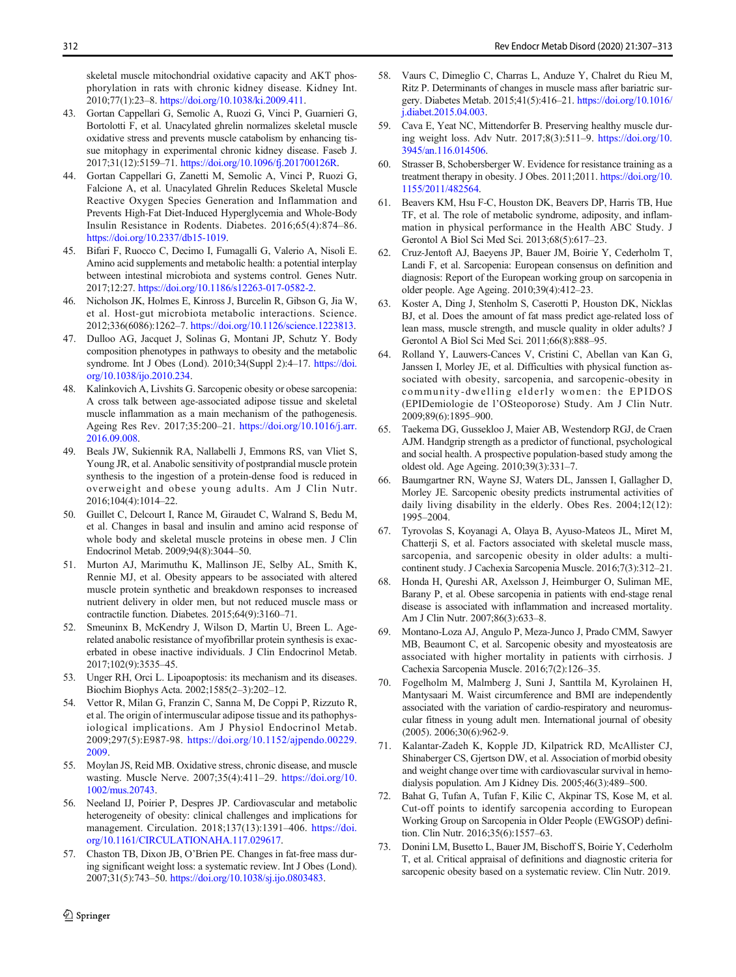<span id="page-5-0"></span>skeletal muscle mitochondrial oxidative capacity and AKT phosphorylation in rats with chronic kidney disease. Kidney Int. 2010;77(1):23–8. [https://doi.org/10.1038/ki.2009.411.](https://doi.org/10.1038/ki.2009.411)

- 43. Gortan Cappellari G, Semolic A, Ruozi G, Vinci P, Guarnieri G, Bortolotti F, et al. Unacylated ghrelin normalizes skeletal muscle oxidative stress and prevents muscle catabolism by enhancing tissue mitophagy in experimental chronic kidney disease. Faseb J. 2017;31(12):5159–71. [https://doi.org/10.1096/fj.201700126R.](https://doi.org/10.1096/fj.201700126R)
- 44. Gortan Cappellari G, Zanetti M, Semolic A, Vinci P, Ruozi G, Falcione A, et al. Unacylated Ghrelin Reduces Skeletal Muscle Reactive Oxygen Species Generation and Inflammation and Prevents High-Fat Diet-Induced Hyperglycemia and Whole-Body Insulin Resistance in Rodents. Diabetes. 2016;65(4):874–86. <https://doi.org/10.2337/db15-1019>.
- 45. Bifari F, Ruocco C, Decimo I, Fumagalli G, Valerio A, Nisoli E. Amino acid supplements and metabolic health: a potential interplay between intestinal microbiota and systems control. Genes Nutr. 2017;12:27. [https://doi.org/10.1186/s12263-017-0582-2.](https://doi.org/10.1186/s12263-017-0582-2)
- 46. Nicholson JK, Holmes E, Kinross J, Burcelin R, Gibson G, Jia W, et al. Host-gut microbiota metabolic interactions. Science. 2012;336(6086):1262–7. <https://doi.org/10.1126/science.1223813>.
- 47. Dulloo AG, Jacquet J, Solinas G, Montani JP, Schutz Y. Body composition phenotypes in pathways to obesity and the metabolic syndrome. Int J Obes (Lond). 2010;34(Suppl 2):4–17. [https://doi.](https://doi.org/10.1038/ijo.2010.234) [org/10.1038/ijo.2010.234.](https://doi.org/10.1038/ijo.2010.234)
- 48. Kalinkovich A, Livshits G. Sarcopenic obesity or obese sarcopenia: A cross talk between age-associated adipose tissue and skeletal muscle inflammation as a main mechanism of the pathogenesis. Ageing Res Rev. 2017;35:200–21. [https://doi.org/10.1016/j.arr.](https://doi.org/10.1016/j.arr.2016.09.008) [2016.09.008](https://doi.org/10.1016/j.arr.2016.09.008).
- 49. Beals JW, Sukiennik RA, Nallabelli J, Emmons RS, van Vliet S, Young JR, et al. Anabolic sensitivity of postprandial muscle protein synthesis to the ingestion of a protein-dense food is reduced in overweight and obese young adults. Am J Clin Nutr. 2016;104(4):1014–22.
- 50. Guillet C, Delcourt I, Rance M, Giraudet C, Walrand S, Bedu M, et al. Changes in basal and insulin and amino acid response of whole body and skeletal muscle proteins in obese men. J Clin Endocrinol Metab. 2009;94(8):3044–50.
- 51. Murton AJ, Marimuthu K, Mallinson JE, Selby AL, Smith K, Rennie MJ, et al. Obesity appears to be associated with altered muscle protein synthetic and breakdown responses to increased nutrient delivery in older men, but not reduced muscle mass or contractile function. Diabetes. 2015;64(9):3160–71.
- 52. Smeuninx B, McKendry J, Wilson D, Martin U, Breen L. Agerelated anabolic resistance of myofibrillar protein synthesis is exacerbated in obese inactive individuals. J Clin Endocrinol Metab. 2017;102(9):3535–45.
- 53. Unger RH, Orci L. Lipoapoptosis: its mechanism and its diseases. Biochim Biophys Acta. 2002;1585(2–3):202–12.
- 54. Vettor R, Milan G, Franzin C, Sanna M, De Coppi P, Rizzuto R, et al. The origin of intermuscular adipose tissue and its pathophysiological implications. Am J Physiol Endocrinol Metab. 2009;297(5):E987-98. [https://doi.org/10.1152/ajpendo.00229.](https://doi.org/10.1152/ajpendo.00229.2009) [2009](https://doi.org/10.1152/ajpendo.00229.2009).
- 55. Moylan JS, Reid MB. Oxidative stress, chronic disease, and muscle wasting. Muscle Nerve. 2007;35(4):411–29. [https://doi.org/10.](https://doi.org/10.1002/mus.20743) [1002/mus.20743](https://doi.org/10.1002/mus.20743).
- 56. Neeland IJ, Poirier P, Despres JP. Cardiovascular and metabolic heterogeneity of obesity: clinical challenges and implications for management. Circulation. 2018;137(13):1391–406. [https://doi.](https://doi.org/10.1161/CIRCULATIONAHA.117.029617) [org/10.1161/CIRCULATIONAHA.117.029617](https://doi.org/10.1161/CIRCULATIONAHA.117.029617).
- 57. Chaston TB, Dixon JB, O'Brien PE. Changes in fat-free mass during significant weight loss: a systematic review. Int J Obes (Lond). 2007;31(5):743–50. [https://doi.org/10.1038/sj.ijo.0803483.](https://doi.org/10.1038/sj.ijo.0803483)
- 58. Vaurs C, Dimeglio C, Charras L, Anduze Y, Chalret du Rieu M, Ritz P. Determinants of changes in muscle mass after bariatric surgery. Diabetes Metab. 2015;41(5):416–21. [https://doi.org/10.1016/](https://doi.org/10.1016/j.diabet.2015.04.003) [j.diabet.2015.04.003.](https://doi.org/10.1016/j.diabet.2015.04.003)
- 59. Cava E, Yeat NC, Mittendorfer B. Preserving healthy muscle during weight loss. Adv Nutr. 2017;8(3):511–9. [https://doi.org/10.](https://doi.org/10.3945/an.116.014506) [3945/an.116.014506.](https://doi.org/10.3945/an.116.014506)
- 60. Strasser B, Schobersberger W. Evidence for resistance training as a treatment therapy in obesity. J Obes. 2011;2011. [https://doi.org/10.](https://doi.org/10.1155/2011/482564) [1155/2011/482564](https://doi.org/10.1155/2011/482564).
- 61. Beavers KM, Hsu F-C, Houston DK, Beavers DP, Harris TB, Hue TF, et al. The role of metabolic syndrome, adiposity, and inflammation in physical performance in the Health ABC Study. J Gerontol A Biol Sci Med Sci. 2013;68(5):617–23.
- 62. Cruz-Jentoft AJ, Baeyens JP, Bauer JM, Boirie Y, Cederholm T, Landi F, et al. Sarcopenia: European consensus on definition and diagnosis: Report of the European working group on sarcopenia in older people. Age Ageing. 2010;39(4):412–23.
- 63. Koster A, Ding J, Stenholm S, Caserotti P, Houston DK, Nicklas BJ, et al. Does the amount of fat mass predict age-related loss of lean mass, muscle strength, and muscle quality in older adults? J Gerontol A Biol Sci Med Sci. 2011;66(8):888–95.
- 64. Rolland Y, Lauwers-Cances V, Cristini C, Abellan van Kan G, Janssen I, Morley JE, et al. Difficulties with physical function associated with obesity, sarcopenia, and sarcopenic-obesity in community-dwelling elderly women: the EPIDOS (EPIDemiologie de l'OSteoporose) Study. Am J Clin Nutr. 2009;89(6):1895–900.
- 65. Taekema DG, Gussekloo J, Maier AB, Westendorp RGJ, de Craen AJM. Handgrip strength as a predictor of functional, psychological and social health. A prospective population-based study among the oldest old. Age Ageing. 2010;39(3):331–7.
- 66. Baumgartner RN, Wayne SJ, Waters DL, Janssen I, Gallagher D, Morley JE. Sarcopenic obesity predicts instrumental activities of daily living disability in the elderly. Obes Res. 2004;12(12): 1995–2004.
- 67. Tyrovolas S, Koyanagi A, Olaya B, Ayuso-Mateos JL, Miret M, Chatterji S, et al. Factors associated with skeletal muscle mass, sarcopenia, and sarcopenic obesity in older adults: a multicontinent study. J Cachexia Sarcopenia Muscle. 2016;7(3):312–21.
- 68. Honda H, Qureshi AR, Axelsson J, Heimburger O, Suliman ME, Barany P, et al. Obese sarcopenia in patients with end-stage renal disease is associated with inflammation and increased mortality. Am J Clin Nutr. 2007;86(3):633–8.
- 69. Montano-Loza AJ, Angulo P, Meza-Junco J, Prado CMM, Sawyer MB, Beaumont C, et al. Sarcopenic obesity and myosteatosis are associated with higher mortality in patients with cirrhosis. J Cachexia Sarcopenia Muscle. 2016;7(2):126–35.
- 70. Fogelholm M, Malmberg J, Suni J, Santtila M, Kyrolainen H, Mantysaari M. Waist circumference and BMI are independently associated with the variation of cardio-respiratory and neuromuscular fitness in young adult men. International journal of obesity (2005). 2006;30(6):962-9.
- 71. Kalantar-Zadeh K, Kopple JD, Kilpatrick RD, McAllister CJ, Shinaberger CS, Gjertson DW, et al. Association of morbid obesity and weight change over time with cardiovascular survival in hemodialysis population. Am J Kidney Dis. 2005;46(3):489–500.
- 72. Bahat G, Tufan A, Tufan F, Kilic C, Akpinar TS, Kose M, et al. Cut-off points to identify sarcopenia according to European Working Group on Sarcopenia in Older People (EWGSOP) definition. Clin Nutr. 2016;35(6):1557–63.
- 73. Donini LM, Busetto L, Bauer JM, Bischoff S, Boirie Y, Cederholm T, et al. Critical appraisal of definitions and diagnostic criteria for sarcopenic obesity based on a systematic review. Clin Nutr. 2019.